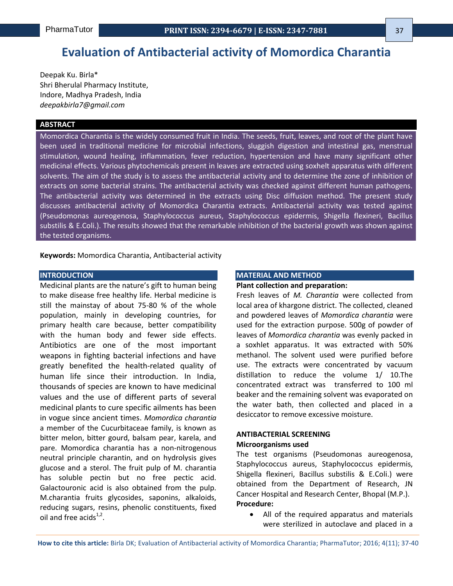# **Evaluation of Antibacterial activity of Momordica Charantia**

Deepak Ku. Birla\* Shri Bherulal Pharmacy Institute, Indore, Madhya Pradesh, India *deepakbirla7@gmail.com*

# **ABSTRACT**

Momordica Charantia is the widely consumed fruit in India. The seeds, fruit, leaves, and root of the plant have been used in traditional medicine for microbial infections, sluggish digestion and intestinal gas, menstrual stimulation, wound healing, inflammation, fever reduction, hypertension and have many significant other medicinal effects. Various phytochemicals present in leaves are extracted using soxhelt apparatus with different solvents. The aim of the study is to assess the antibacterial activity and to determine the zone of inhibition of extracts on some bacterial strains. The antibacterial activity was checked against different human pathogens. The antibacterial activity was determined in the extracts using Disc diffusion method. The present study discusses antibacterial activity of Momordica Charantia extracts. Antibacterial activity was tested against (Pseudomonas aureogenosa, Staphylococcus aureus, Staphylococcus epidermis, Shigella flexineri, Bacillus substilis & E.Coli.). The results showed that the remarkable inhibition of the bacterial growth was shown against the tested organisms.

**Keywords:** Momordica Charantia, Antibacterial activity

# **INTRODUCTION**

Medicinal plants are the nature's gift to human being to make disease free healthy life. Herbal medicine is still the mainstay of about 75-80 % of the whole population, mainly in developing countries, for primary health care because, better compatibility with the human body and fewer side effects. Antibiotics are one of the most important weapons in fighting bacterial infections and have greatly benefited the health-related quality of human life since their introduction. In India, thousands of species are known to have medicinal values and the use of different parts of several medicinal plants to cure specific ailments has been in vogue since ancient times. *Momordica charantia*  a member of the Cucurbitaceae family, is known as bitter melon, bitter gourd, balsam pear, karela, and pare. Momordica charantia has a non-nitrogenous neutral principle charantin, and on hydrolysis gives glucose and a sterol. The fruit pulp of M. charantia has soluble pectin but no free pectic acid. Galactouronic acid is also obtained from the pulp. M.charantia fruits glycosides, saponins, alkaloids, reducing sugars, resins, phenolic constituents, fixed oil and free acids $1,2$ .

#### **MATERIAL AND METHOD**

### **Plant collection and preparation:**

Fresh leaves of *M. Charantia* were collected from local area of khargone district. The collected, cleaned and powdered leaves of *Momordica charantia* were used for the extraction purpose. 500g of powder of leaves of *Momordica charantia* was evenly packed in a soxhlet apparatus. It was extracted with 50% methanol. The solvent used were purified before use. The extracts were concentrated by vacuum distillation to reduce the volume 1/ 10.The concentrated extract was transferred to 100 ml beaker and the remaining solvent was evaporated on the water bath, then collected and placed in a desiccator to remove excessive moisture.

## **ANTIBACTERIAL SCREENING Microorganisms used**

The test organisms (Pseudomonas aureogenosa, Staphylococcus aureus, Staphylococcus epidermis, Shigella flexineri, Bacillus substilis & E.Coli.) were obtained from the Department of Research, JN Cancer Hospital and Research Center, Bhopal (M.P.). **Procedure:**

 All of the required apparatus and materials were sterilized in autoclave and placed in a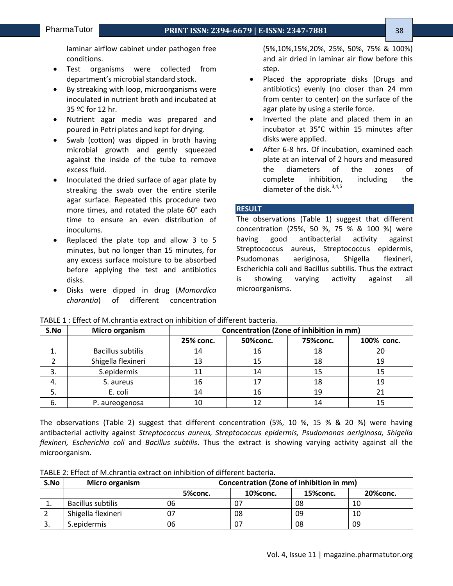laminar airflow cabinet under pathogen free conditions.

- Test organisms were collected from department's microbial standard stock.
- By streaking with loop, microorganisms were inoculated in nutrient broth and incubated at 35 ºC for 12 hr.
- Nutrient agar media was prepared and poured in Petri plates and kept for drying.
- Swab (cotton) was dipped in broth having microbial growth and gently squeezed against the inside of the tube to remove excess fluid.
- Inoculated the dried surface of agar plate by streaking the swab over the entire sterile agar surface. Repeated this procedure two more times, and rotated the plate 60° each time to ensure an even distribution of inoculums.
- Replaced the plate top and allow 3 to 5 minutes, but no longer than 15 minutes, for any excess surface moisture to be absorbed before applying the test and antibiotics disks.
- Disks were dipped in drug (*Momordica charantia*) of different concentration

(5%,10%,15%,20%, 25%, 50%, 75% & 100%) and air dried in laminar air flow before this step.

- Placed the appropriate disks (Drugs and antibiotics) evenly (no closer than 24 mm from center to center) on the surface of the agar plate by using a sterile force.
- Inverted the plate and placed them in an incubator at 35°C within 15 minutes after disks were applied.
- After 6-8 hrs. Of incubation, examined each plate at an interval of 2 hours and measured the diameters of the zones of complete inhibition, including the diameter of the disk. $3,4,5$

# **RESULT**

The observations (Table 1) suggest that different concentration (25%, 50 %, 75 % & 100 %) were having good antibacterial activity against Streptococcus aureus, Streptococcus epidermis, Psudomonas aeriginosa, Shigella flexineri, Escherichia coli and Bacillus subtilis. Thus the extract is showing varying activity against all microorganisms.

| S.No | Micro organism           | Concentration (Zone of inhibition in mm) |          |          |            |  |
|------|--------------------------|------------------------------------------|----------|----------|------------|--|
|      |                          | 25% conc.                                | 50%conc. | 75%conc. | 100% conc. |  |
|      | <b>Bacillus subtilis</b> | 14                                       | 16       | 18       | 20         |  |
|      | Shigella flexineri       | 13                                       | 15       | 18       | 19         |  |
| 3.   | S.epidermis              |                                          | 14       | 15       | 15         |  |
| 4.   | S. aureus                | 16                                       | 17       | 18       | 19         |  |
| 5.   | E. coli                  | 14                                       | 16       | 19       | 21         |  |
| -6.  | P. aureogenosa           | 10                                       |          |          |            |  |

TABLE 1 : Effect of M.chrantia extract on inhibition of different bacteria.

The observations (Table 2) suggest that different concentration (5%, 10 %, 15 % & 20 %) were having antibacterial activity against *Streptococcus aureus, Streptococcus epidermis, Psudomonas aeriginosa, Shigella flexineri, Escherichia coli* and *Bacillus subtilis*. Thus the extract is showing varying activity against all the microorganism.

TABLE 2: Effect of M.chrantia extract on inhibition of different bacteria.

| S.No | <b>Micro organism</b> | Concentration (Zone of inhibition in mm) |          |           |          |  |
|------|-----------------------|------------------------------------------|----------|-----------|----------|--|
|      |                       | 5%conc.                                  | 10%conc. | 15% conc. | 20%conc. |  |
|      | Bacillus subtilis     | 06                                       |          | 08        | 10       |  |
|      | Shigella flexineri    | 07                                       | 08       | 09        | 10       |  |
| .ر   | S.epidermis           | 06                                       |          | 08        | 09       |  |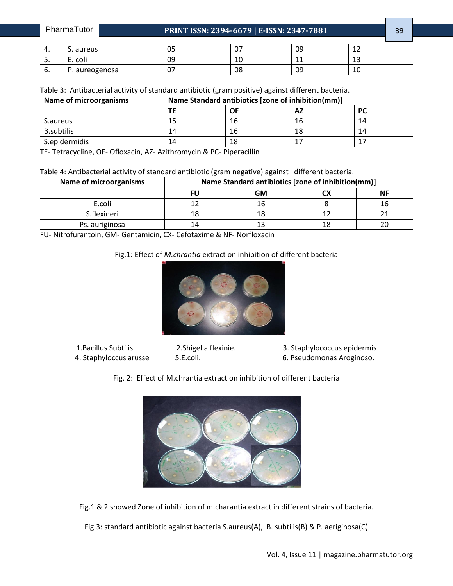| PharmaTutor |           | PRINT ISSN: 2394-6679   E-ISSN: 2347-7881 |    |  |    |  | n c |
|-------------|-----------|-------------------------------------------|----|--|----|--|-----|
|             |           |                                           |    |  |    |  |     |
|             | s. aureus |                                           | 05 |  | 09 |  |     |

| P. aureogenosa                                                                                            |  |  |
|-----------------------------------------------------------------------------------------------------------|--|--|
| Talala Ori Aistilaasta sala astiritu af standard antikistis langus naaitiria) aasinat diffensut kastania. |  |  |

5. E. coli 09 10 11 13

| <b>Name of microorganisms</b> | Name Standard antibiotics [zone of inhibition(mm)] |    |    |           |  |
|-------------------------------|----------------------------------------------------|----|----|-----------|--|
|                               | ΤE                                                 | OF | AZ | <b>PC</b> |  |
| S.aureus                      | 15                                                 | 16 | 16 | 14        |  |
| <b>B.subtilis</b>             | 14                                                 | 16 | 18 | 14        |  |
| S.epidermidis                 | 14                                                 | 18 |    | 17        |  |

TE- Tetracycline, OF- Ofloxacin, AZ- Azithromycin & PC- Piperacillin

Table 4: Antibacterial activity of standard antibiotic (gram negative) against different bacteria.

| <b>Name of microorganisms</b> | Name Standard antibiotics [zone of inhibition(mm)] |           |  |           |  |
|-------------------------------|----------------------------------------------------|-----------|--|-----------|--|
|                               |                                                    | <b>GM</b> |  | <b>NF</b> |  |
| E.coli                        |                                                    |           |  |           |  |
| S.flexineri                   |                                                    |           |  |           |  |
| Ps. auriginosa                |                                                    |           |  |           |  |

FU- Nitrofurantoin, GM- Gentamicin, CX- Cefotaxime & NF- Norfloxacin

# Fig.1: Effect of *M.chrantia* extract on inhibition of different bacteria



- 1.Bacillus Subtilis. 2.Shigella flexinie. 3. Staphylococcus epidermis
- 4. Staphyloccus arusse 5.E.coli. 6. Pseudomonas Aroginoso.
	- Fig. 2: Effect of M.chrantia extract on inhibition of different bacteria



Fig.1 & 2 showed Zone of inhibition of m.charantia extract in different strains of bacteria.

Fig.3: standard antibiotic against bacteria S.aureus(A), B. subtilis(B) & P. aeriginosa(C)